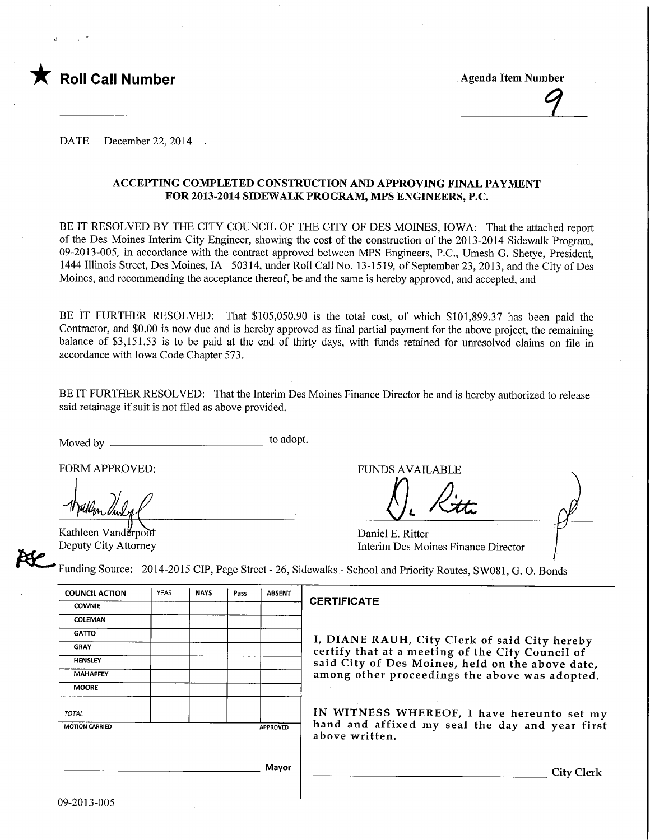

**Agenda Item Number** 

DATE December 22, 2014

### ACCEPTING COMPLETED CONSTRUCTION AND APPROVING FINAL PAYMENT FOR 2013-2014 SIDEWALK PROGRAM, MPS ENGINEERS, P.C.

BE IT RESOLVED BY THE CITY COUNCIL OF THE CITY OF DES MOINES, IOWA: That the attached report of the Des Moines Interim City Engineer, showing the cost of the construction of the 2013-2014 Sidewalk Program, 09-2013-005, in accordance with the contract approved between MPS Engineers, P.C., Umesh G. Shetye, President, 1444 Illinois Street, Des Moines, IA 50314, under Roll Call No. 13-1519, of September 23, 2013, and the City ofDes Moines, and recommending the acceptance thereof, be and the same is hereby approved, and accepted, and

BE IT FURTHER RESOLVED: That \$105,050.90 is the total cost, of which \$101,899.37 has been paid the Contractor, and \$0.00 is now due and is hereby approved as final partial payment for the above project, the remaining balance of \$3,151.53 is to be paid at the end of thirty days, with funds retained for unresolved claims on file in accordance with Iowa Code Chapter 573.

BE IT FURTHER RESOLVED: That the Interim Des Moines Finance Director be and is hereby authorized to release said retainage if suit is not filed as above provided.

Moved by to adopt.

FORM APPROVED: THE RESERVED FUNDS AVAILABLE

Kathleen Vanderpool Deputy City Attorney De Ritte

Daniel E. Ritter Interim Des Moines Finance Director

Funding Source: 2014-2015 CIP, Page Street - 26, Sidewalks - School and Priority Routes, SW081, G. 0. Bonds

| <b>COUNCIL ACTION</b>                    | <b>YEAS</b> | <b>NAYS</b> | Pass | <b>ABSENT</b> |  |
|------------------------------------------|-------------|-------------|------|---------------|--|
| <b>COWNIE</b>                            |             |             |      |               |  |
| <b>COLEMAN</b>                           |             |             |      |               |  |
| <b>GATTO</b>                             |             |             |      |               |  |
| <b>GRAY</b>                              |             |             |      |               |  |
| <b>HENSLEY</b>                           |             |             |      |               |  |
| <b>MAHAFFEY</b>                          |             |             |      |               |  |
| <b>MOORE</b>                             |             |             |      |               |  |
| <b>TOTAL</b>                             |             |             |      |               |  |
| <b>MOTION CARRIED</b><br><b>APPROVED</b> |             |             |      |               |  |
|                                          |             |             |      |               |  |
|                                          |             |             |      | Mayor         |  |

### **CERTIFICATE**

I, DIANE RAUH, City Clerk of said City hereby certify that at a meeting of the City Council of said City of Des Moines, held on the above date, among other proceedings the above was adopted.

IN WITNESS WHEREOF, I have hereunto set my hand and affixed my seal the day and year first above written.

City Clerk

Mayor

09-2013-005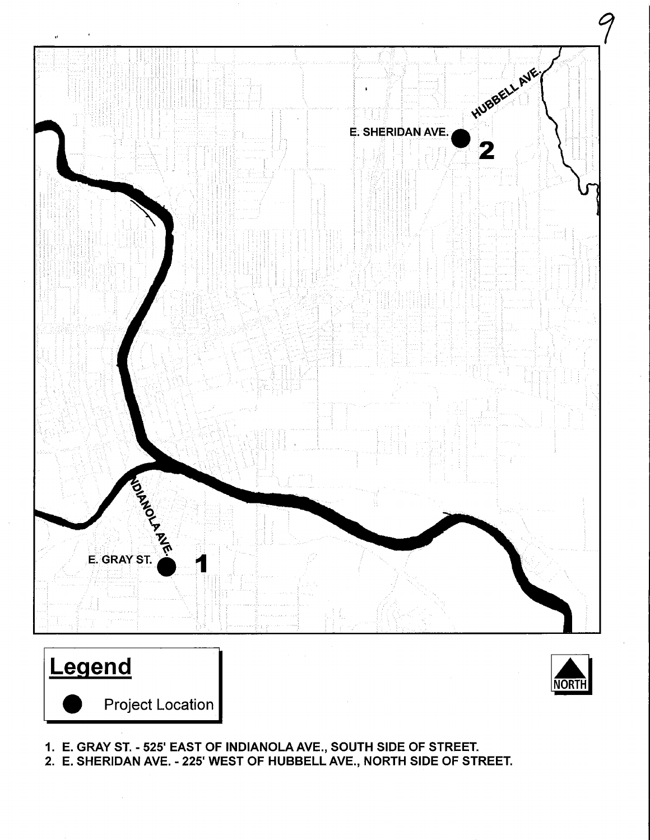





1. E. GRAY ST. - 525' EAST OF INDIANOLAAVE., SOUTH SIDE OF STREET.

2. E. SHERIDAN AVE. - 225' WEST OF HUBBELLAVE, NORTH SIDE OF STREET.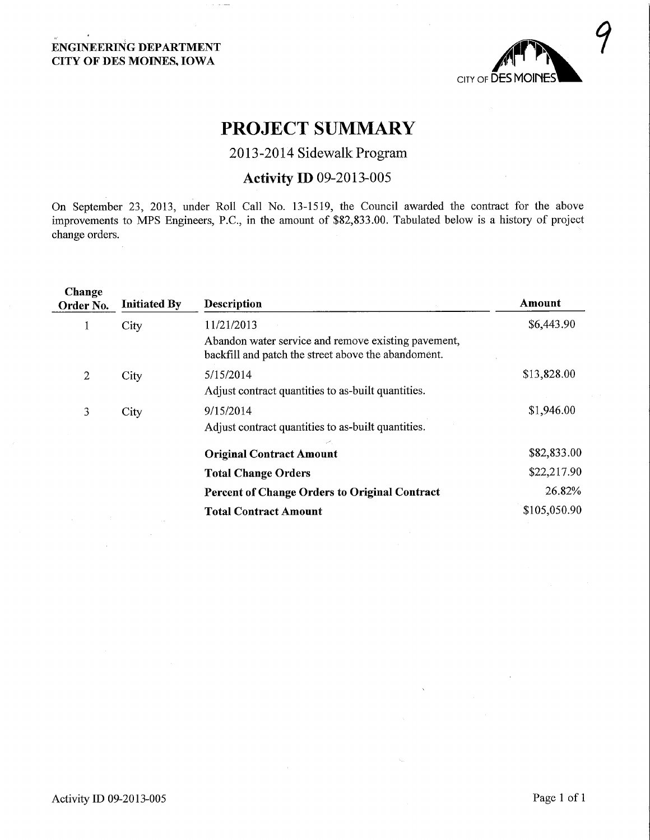## ENGINEERING DEPARTMENT CITY OF DES MOINES, IOWA



# PROJECT SUMMARY

## 2013-2014 Sidewalk Program

# Activity ID 09-2013-005

On September 23, 2013, under Roll Call No. 13-1519, the Council awarded the contact for the above improvements to MPS Engineers, P.C., in the amount of \$82,833.00. Tabulated below is a history of project change orders.

| Change<br>Order No. | <b>Initiated By</b> | <b>Description</b>                                                                                         | Amount       |
|---------------------|---------------------|------------------------------------------------------------------------------------------------------------|--------------|
|                     | City                | 11/21/2013                                                                                                 | \$6,443.90   |
|                     |                     | Abandon water service and remove existing pavement,<br>backfill and patch the street above the abandoment. |              |
| 2                   | City                | 5/15/2014                                                                                                  | \$13,828.00  |
|                     |                     | Adjust contract quantities to as-built quantities.                                                         |              |
| 3                   | City                | 9/15/2014                                                                                                  | \$1,946.00   |
|                     |                     | Adjust contract quantities to as-built quantities.                                                         |              |
|                     |                     | <b>Original Contract Amount</b>                                                                            | \$82,833.00  |
|                     |                     | <b>Total Change Orders</b>                                                                                 | \$22,217.90  |
|                     |                     | <b>Percent of Change Orders to Original Contract</b>                                                       | 26.82%       |
|                     |                     | <b>Total Contract Amount</b>                                                                               | \$105,050.90 |
|                     |                     |                                                                                                            |              |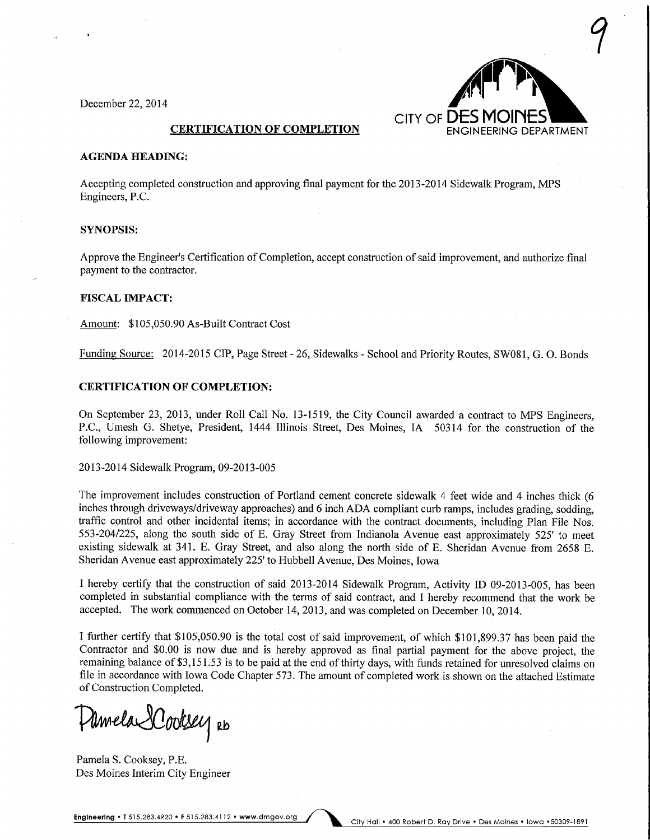December 22, 2014



#### **CERTIFICATION OF COMPLETION**

#### AGENDA HEADING:

Accepting completed construction and approving final payment for the 2013-2014 Sidewalk Program, MPS Engineers, P.C.

#### SYNOPSIS:

Approve the Engineer's Certification of Completion, accept construction of said improvement, and authorize final payment to the contractor.

#### FISCAL IMPACT:

Amount: \$105,050.90 As-Built Contract Cost

Funding Source: 2014-2015 CIP, Page Street - 26, Sidewalks - School and Priority Routes, SW081, G. 0. Bonds

#### CERTIFICATION OF COMPLETION:

On September 23, 2013, under Roll Call No. 13-1519, the City Council awarded a contract to MPS Engineers, P.C., Umesh G. Shetye, President, 1444 Illinois Street, Des Moines, IA 50314 for the construction of the following improvement:

#### 2013-2014 Sidewalk Program, 09-2013-005

The improvement includes construction of Portland cement concrete sidewalk 4 feet wide and 4 inches thick (6 inches through driveways/driveway approaches) and 6 inch ADA compliant curb ramps, includes grading, sodding, traffic control and other incidental items; in accordance with the contract documents, including Plan File Nos. 553-204/225, along the south side of E. Gray Street from Indianola Avenue east approximately 525' to meet existing sidewalk at 341. E. Gray Street, and also along the north side of E. Sheridan Avenue from 2658 E. Sheridan Avenue east approximately 225' to Hubbell Avenue, Des Moines, Iowa

I hereby certify that the construction of said 2013-2014 Sidewalk Program, Activity ID 09-2013-005, has been completed in substantial compliance with the terms of said contract, and I hereby recommend that the work be accepted. The work commenced on October 14, 2013, and was completed on December 10, 2014.

I further certify that \$105,050.90 is the total cost of said improvement, of which \$101,899.37 has been paid the Contractor and \$0.00 is now due and is hereby approved as final partial payment for the above project, the remaining balance of \$3,151.53 is to be paid at the end of thirty days, with funds retained for unresolved claims on file in accordance with Iowa Code Chapter 573. The amount of completed work is shown on the attached Estimate of Construction Completed.

Armela SCooksey Rb

Pamela S. Cooksey, P.E. Des Moines Interim City Engineer